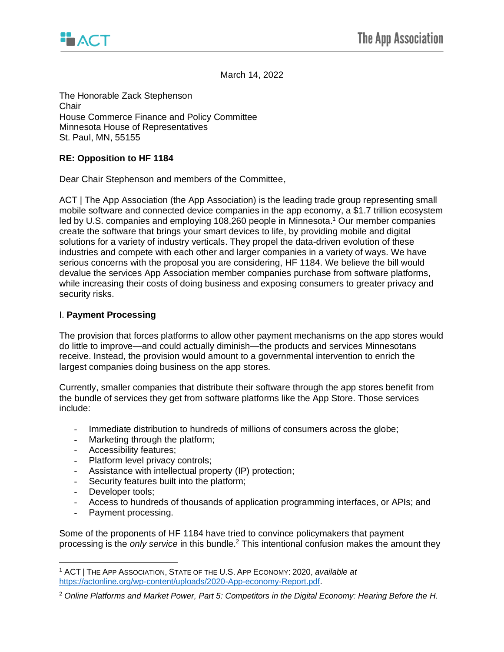

March 14, 2022

The Honorable Zack Stephenson Chair House Commerce Finance and Policy Committee Minnesota House of Representatives St. Paul, MN, 55155

## **RE: Opposition to HF 1184**

Dear Chair Stephenson and members of the Committee,

ACT | The App Association (the App Association) is the leading trade group representing small mobile software and connected device companies in the app economy, a \$1.7 trillion ecosystem led by U.S. companies and employing 108,260 people in Minnesota.<sup>1</sup> Our member companies create the software that brings your smart devices to life, by providing mobile and digital solutions for a variety of industry verticals. They propel the data-driven evolution of these industries and compete with each other and larger companies in a variety of ways. We have serious concerns with the proposal you are considering, HF 1184. We believe the bill would devalue the services App Association member companies purchase from software platforms, while increasing their costs of doing business and exposing consumers to greater privacy and security risks.

## I. **Payment Processing**

The provision that forces platforms to allow other payment mechanisms on the app stores would do little to improve—and could actually diminish—the products and services Minnesotans receive. Instead, the provision would amount to a governmental intervention to enrich the largest companies doing business on the app stores.

Currently, smaller companies that distribute their software through the app stores benefit from the bundle of services they get from software platforms like the App Store. Those services include:

- Immediate distribution to hundreds of millions of consumers across the globe;
- Marketing through the platform;
- Accessibility features;
- Platform level privacy controls;
- Assistance with intellectual property (IP) protection;
- Security features built into the platform;
- Developer tools;
- Access to hundreds of thousands of application programming interfaces, or APIs; and
- Payment processing.

Some of the proponents of HF 1184 have tried to convince policymakers that payment processing is the *only service* in this bundle.<sup>2</sup> This intentional confusion makes the amount they

<sup>1</sup> ACT | THE APP ASSOCIATION, STATE OF THE U.S. APP ECONOMY: 2020, *available at* [https://actonline.org/wp-content/uploads/2020-App-economy-Report.pdf.](https://actonline.org/wp-content/uploads/2020-App-economy-Report.pdf)

<sup>2</sup> *Online Platforms and Market Power, Part 5: Competitors in the Digital Economy: Hearing Before the H.*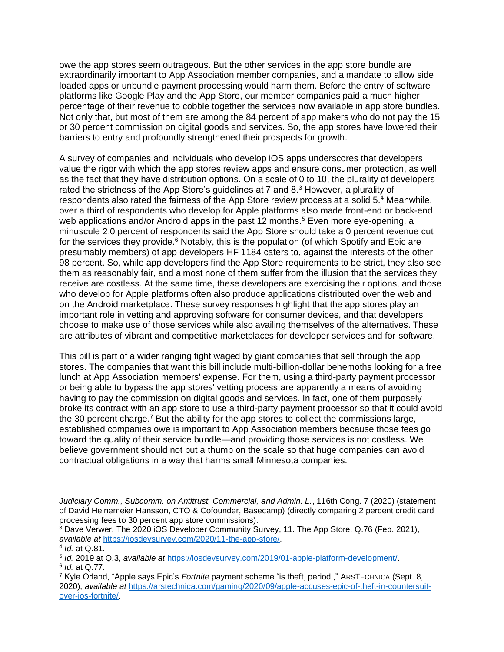owe the app stores seem outrageous. But the other services in the app store bundle are extraordinarily important to App Association member companies, and a mandate to allow side loaded apps or unbundle payment processing would harm them. Before the entry of software platforms like Google Play and the App Store, our member companies paid a much higher percentage of their revenue to cobble together the services now available in app store bundles. Not only that, but most of them are among the 84 percent of app makers who do not pay the 15 or 30 percent commission on digital goods and services. So, the app stores have lowered their barriers to entry and profoundly strengthened their prospects for growth.

A survey of companies and individuals who develop iOS apps underscores that developers value the rigor with which the app stores review apps and ensure consumer protection, as well as the fact that they have distribution options. On a scale of 0 to 10, the plurality of developers rated the strictness of the App Store's guidelines at 7 and 8.<sup>3</sup> However, a plurality of respondents also rated the fairness of the App Store review process at a solid 5.<sup>4</sup> Meanwhile, over a third of respondents who develop for Apple platforms also made front-end or back-end web applications and/or Android apps in the past 12 months.<sup>5</sup> Even more eye-opening, a minuscule 2.0 percent of respondents said the App Store should take a 0 percent revenue cut for the services they provide. $6$  Notably, this is the population (of which Spotify and Epic are presumably members) of app developers HF 1184 caters to, against the interests of the other 98 percent. So, while app developers find the App Store requirements to be strict, they also see them as reasonably fair, and almost none of them suffer from the illusion that the services they receive are costless. At the same time, these developers are exercising their options, and those who develop for Apple platforms often also produce applications distributed over the web and on the Android marketplace. These survey responses highlight that the app stores play an important role in vetting and approving software for consumer devices, and that developers choose to make use of those services while also availing themselves of the alternatives. These are attributes of vibrant and competitive marketplaces for developer services and for software.

This bill is part of a wider ranging fight waged by giant companies that sell through the app stores. The companies that want this bill include multi-billion-dollar behemoths looking for a free lunch at App Association members' expense. For them, using a third-party payment processor or being able to bypass the app stores' vetting process are apparently a means of avoiding having to pay the commission on digital goods and services. In fact, one of them purposely broke its contract with an app store to use a third-party payment processor so that it could avoid the 30 percent charge.<sup>7</sup> But the ability for the app stores to collect the commissions large, established companies owe is important to App Association members because those fees go toward the quality of their service bundle—and providing those services is not costless. We believe government should not put a thumb on the scale so that huge companies can avoid contractual obligations in a way that harms small Minnesota companies.

*Judiciary Comm., Subcomm. on Antitrust, Commercial, and Admin. L.*, 116th Cong. 7 (2020) (statement of David Heinemeier Hansson, CTO & Cofounder, Basecamp) (directly comparing 2 percent credit card processing fees to 30 percent app store commissions).

<sup>3</sup> Dave Verwer, The 2020 iOS Developer Community Survey, 11. The App Store, Q.76 (Feb. 2021), *available at* [https://iosdevsurvey.com/2020/11-the-app-store/.](https://iosdevsurvey.com/2020/11-the-app-store/)

<sup>4</sup> *Id.* at Q.81.

<sup>5</sup> *Id.* 2019 at Q.3, *available at* [https://iosdevsurvey.com/2019/01-apple-platform-development/.](https://iosdevsurvey.com/2019/01-apple-platform-development/) 6 *Id.* at Q.77.

<sup>7</sup> Kyle Orland, "Apple says Epic's *Fortnite* payment scheme "is theft, period.," ARSTECHNICA (Sept. 8, 2020), *available at* [https://arstechnica.com/gaming/2020/09/apple-accuses-epic-of-theft-in-countersuit](https://arstechnica.com/gaming/2020/09/apple-accuses-epic-of-theft-in-countersuit-over-ios-fortnite/)[over-ios-fortnite/.](https://arstechnica.com/gaming/2020/09/apple-accuses-epic-of-theft-in-countersuit-over-ios-fortnite/)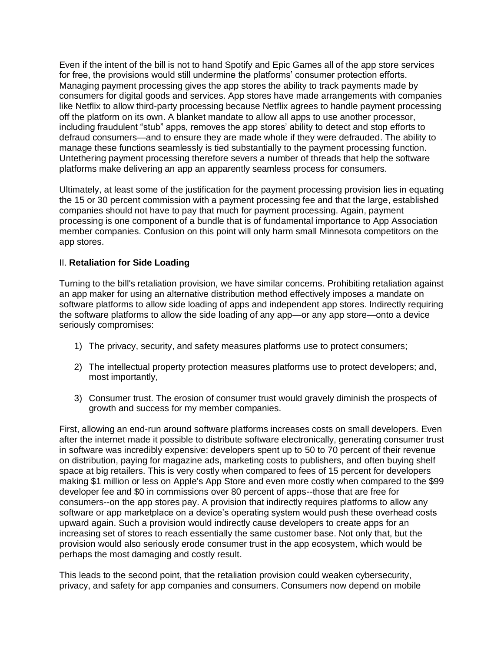Even if the intent of the bill is not to hand Spotify and Epic Games all of the app store services for free, the provisions would still undermine the platforms' consumer protection efforts. Managing payment processing gives the app stores the ability to track payments made by consumers for digital goods and services. App stores have made arrangements with companies like Netflix to allow third-party processing because Netflix agrees to handle payment processing off the platform on its own. A blanket mandate to allow all apps to use another processor, including fraudulent "stub" apps, removes the app stores' ability to detect and stop efforts to defraud consumers—and to ensure they are made whole if they were defrauded. The ability to manage these functions seamlessly is tied substantially to the payment processing function. Untethering payment processing therefore severs a number of threads that help the software platforms make delivering an app an apparently seamless process for consumers.

Ultimately, at least some of the justification for the payment processing provision lies in equating the 15 or 30 percent commission with a payment processing fee and that the large, established companies should not have to pay that much for payment processing. Again, payment processing is one component of a bundle that is of fundamental importance to App Association member companies. Confusion on this point will only harm small Minnesota competitors on the app stores.

## II. **Retaliation for Side Loading**

Turning to the bill's retaliation provision, we have similar concerns. Prohibiting retaliation against an app maker for using an alternative distribution method effectively imposes a mandate on software platforms to allow side loading of apps and independent app stores. Indirectly requiring the software platforms to allow the side loading of any app—or any app store—onto a device seriously compromises:

- 1) The privacy, security, and safety measures platforms use to protect consumers;
- 2) The intellectual property protection measures platforms use to protect developers; and, most importantly,
- 3) Consumer trust. The erosion of consumer trust would gravely diminish the prospects of growth and success for my member companies.

First, allowing an end-run around software platforms increases costs on small developers. Even after the internet made it possible to distribute software electronically, generating consumer trust in software was incredibly expensive: developers spent up to 50 to 70 percent of their revenue on distribution, paying for magazine ads, marketing costs to publishers, and often buying shelf space at big retailers. This is very costly when compared to fees of 15 percent for developers making \$1 million or less on Apple's App Store and even more costly when compared to the \$99 developer fee and \$0 in commissions over 80 percent of apps--those that are free for consumers--on the app stores pay. A provision that indirectly requires platforms to allow any software or app marketplace on a device's operating system would push these overhead costs upward again. Such a provision would indirectly cause developers to create apps for an increasing set of stores to reach essentially the same customer base. Not only that, but the provision would also seriously erode consumer trust in the app ecosystem, which would be perhaps the most damaging and costly result.

This leads to the second point, that the retaliation provision could weaken cybersecurity, privacy, and safety for app companies and consumers. Consumers now depend on mobile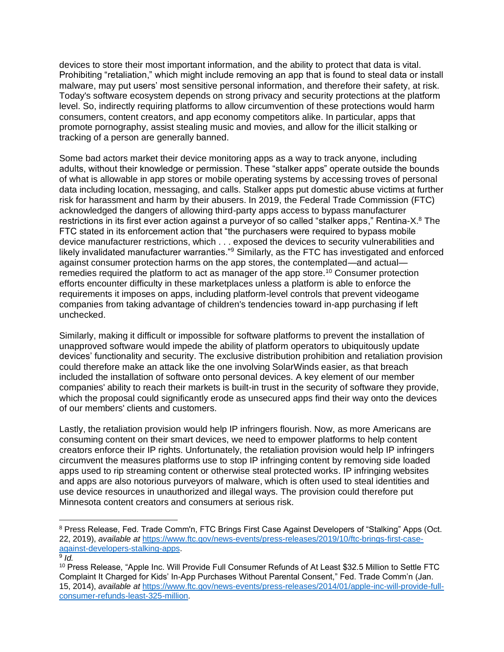devices to store their most important information, and the ability to protect that data is vital. Prohibiting "retaliation," which might include removing an app that is found to steal data or install malware, may put users' most sensitive personal information, and therefore their safety, at risk. Today's software ecosystem depends on strong privacy and security protections at the platform level. So, indirectly requiring platforms to allow circumvention of these protections would harm consumers, content creators, and app economy competitors alike. In particular, apps that promote pornography, assist stealing music and movies, and allow for the illicit stalking or tracking of a person are generally banned.

Some bad actors market their device monitoring apps as a way to track anyone, including adults, without their knowledge or permission. These "stalker apps" operate outside the bounds of what is allowable in app stores or mobile operating systems by accessing troves of personal data including location, messaging, and calls. Stalker apps put domestic abuse victims at further risk for harassment and harm by their abusers. In 2019, the Federal Trade Commission (FTC) acknowledged the dangers of allowing third-party apps access to bypass manufacturer restrictions in its first ever action against a purveyor of so called "stalker apps," Rentina-X.<sup>8</sup> The FTC stated in its enforcement action that "the purchasers were required to bypass mobile device manufacturer restrictions, which . . . exposed the devices to security vulnerabilities and likely invalidated manufacturer warranties."<sup>9</sup> Similarly, as the FTC has investigated and enforced against consumer protection harms on the app stores, the contemplated—and actual remedies required the platform to act as manager of the app store.<sup>10</sup> Consumer protection efforts encounter difficulty in these marketplaces unless a platform is able to enforce the requirements it imposes on apps, including platform-level controls that prevent videogame companies from taking advantage of children's tendencies toward in-app purchasing if left unchecked.

Similarly, making it difficult or impossible for software platforms to prevent the installation of unapproved software would impede the ability of platform operators to ubiquitously update devices' functionality and security. The exclusive distribution prohibition and retaliation provision could therefore make an attack like the one involving SolarWinds easier, as that breach included the installation of software onto personal devices. A key element of our member companies' ability to reach their markets is built-in trust in the security of software they provide, which the proposal could significantly erode as unsecured apps find their way onto the devices of our members' clients and customers.

Lastly, the retaliation provision would help IP infringers flourish. Now, as more Americans are consuming content on their smart devices, we need to empower platforms to help content creators enforce their IP rights. Unfortunately, the retaliation provision would help IP infringers circumvent the measures platforms use to stop IP infringing content by removing side loaded apps used to rip streaming content or otherwise steal protected works. IP infringing websites and apps are also notorious purveyors of malware, which is often used to steal identities and use device resources in unauthorized and illegal ways. The provision could therefore put Minnesota content creators and consumers at serious risk.

<sup>&</sup>lt;sup>8</sup> Press Release, Fed. Trade Comm'n, FTC Brings First Case Against Developers of "Stalking" Apps (Oct. 22, 2019), *available at* [https://www.ftc.gov/news-events/press-releases/2019/10/ftc-brings-first-case](https://www.ftc.gov/news-events/press-releases/2019/10/ftc-brings-first-case-against-developers-stalking-apps)[against-developers-stalking-apps.](https://www.ftc.gov/news-events/press-releases/2019/10/ftc-brings-first-case-against-developers-stalking-apps)

<sup>9</sup> *Id.*

<sup>10</sup> Press Release, "Apple Inc. Will Provide Full Consumer Refunds of At Least \$32.5 Million to Settle FTC Complaint It Charged for Kids' In-App Purchases Without Parental Consent," Fed. Trade Comm'n (Jan. 15, 2014), *available at* [https://www.ftc.gov/news-events/press-releases/2014/01/apple-inc-will-provide-full](https://www.ftc.gov/news-events/press-releases/2014/01/apple-inc-will-provide-full-consumer-refunds-least-325-million)[consumer-refunds-least-325-million.](https://www.ftc.gov/news-events/press-releases/2014/01/apple-inc-will-provide-full-consumer-refunds-least-325-million)